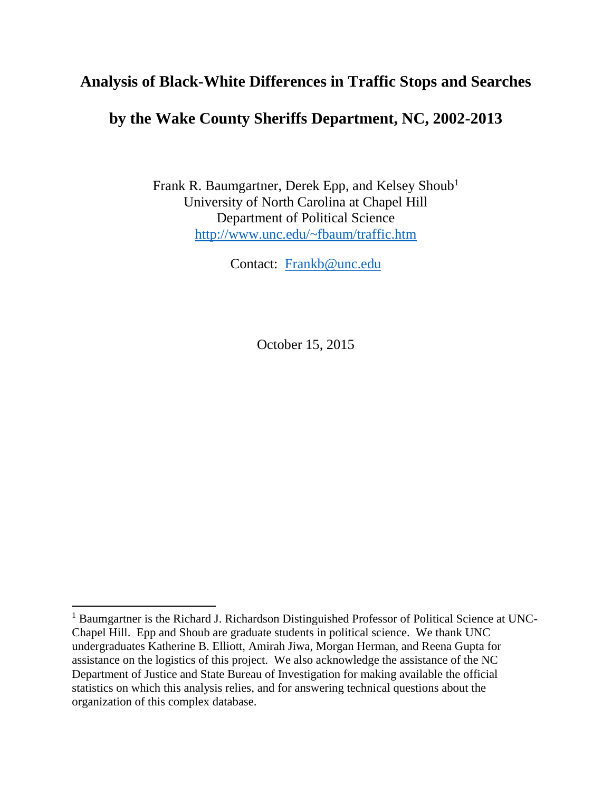## **Analysis of Black-White Differences in Traffic Stops and Searches**

# **by the Wake County Sheriffs Department, NC, 2002-2013**

Frank R. Baumgartner, Derek Epp, and Kelsey Shoub<sup>1</sup> University of North Carolina at Chapel Hill Department of Political Science <http://www.unc.edu/~fbaum/traffic.htm>

Contact: [Frankb@unc.edu](mailto:Frankb@unc.edu)

October 15, 2015

 $\overline{a}$ 

<sup>&</sup>lt;sup>1</sup> Baumgartner is the Richard J. Richardson Distinguished Professor of Political Science at UNC-Chapel Hill. Epp and Shoub are graduate students in political science. We thank UNC undergraduates Katherine B. Elliott, Amirah Jiwa, Morgan Herman, and Reena Gupta for assistance on the logistics of this project. We also acknowledge the assistance of the NC Department of Justice and State Bureau of Investigation for making available the official statistics on which this analysis relies, and for answering technical questions about the organization of this complex database.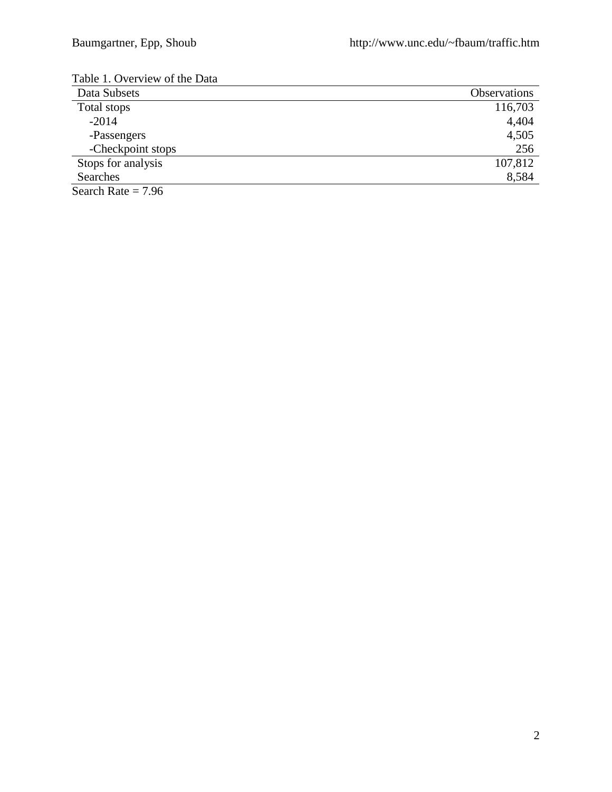| Table T. Overview of the Data |                     |
|-------------------------------|---------------------|
| Data Subsets                  | <b>Observations</b> |
| Total stops                   | 116,703             |
| $-2014$                       | 4,404               |
| -Passengers                   | 4,505               |
| -Checkpoint stops             | 256                 |
| Stops for analysis            | 107,812             |
| Searches                      | 8,584               |
| Search Rate = $7.96$          |                     |

Table 1. Overview of the Data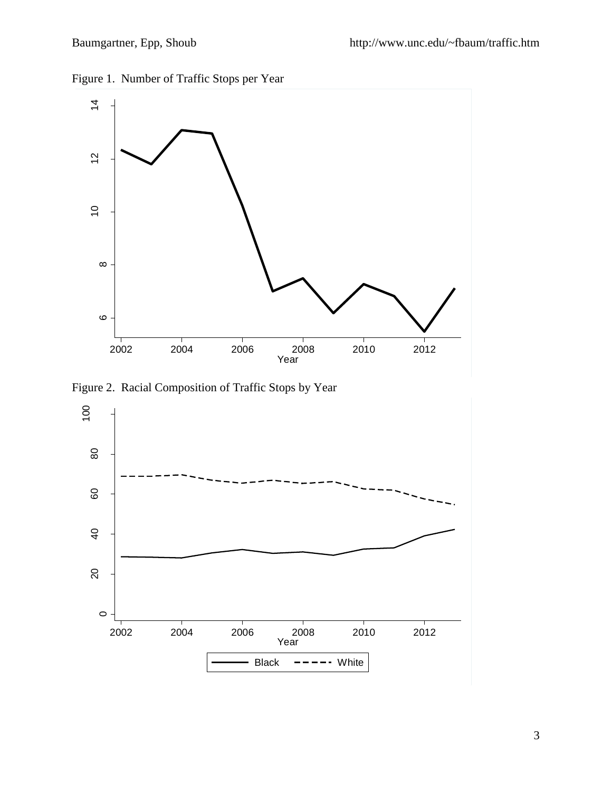



Figure 2. Racial Composition of Traffic Stops by Year

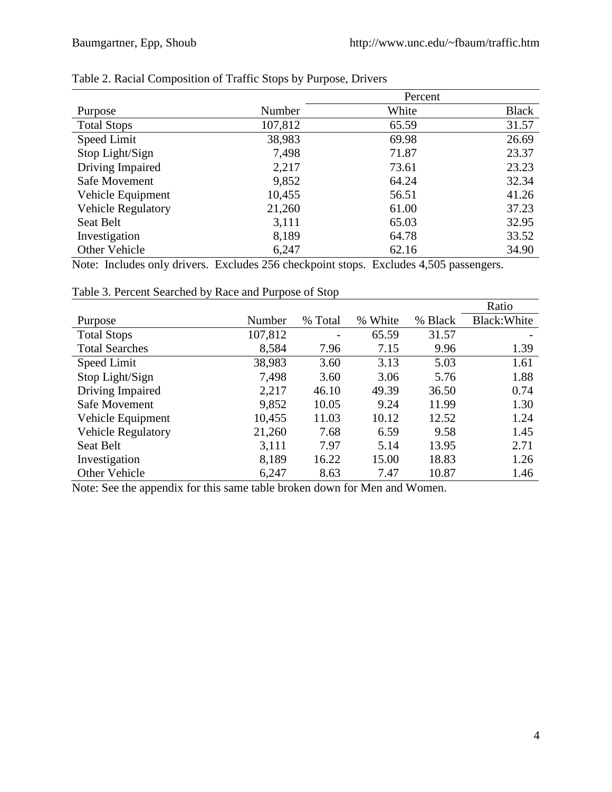|                           | Percent |       |              |
|---------------------------|---------|-------|--------------|
| Purpose                   | Number  | White | <b>Black</b> |
| <b>Total Stops</b>        | 107,812 | 65.59 | 31.57        |
| Speed Limit               | 38,983  | 69.98 | 26.69        |
| Stop Light/Sign           | 7,498   | 71.87 | 23.37        |
| Driving Impaired          | 2,217   | 73.61 | 23.23        |
| Safe Movement             | 9,852   | 64.24 | 32.34        |
| Vehicle Equipment         | 10,455  | 56.51 | 41.26        |
| <b>Vehicle Regulatory</b> | 21,260  | 61.00 | 37.23        |
| Seat Belt                 | 3,111   | 65.03 | 32.95        |
| Investigation             | 8,189   | 64.78 | 33.52        |
| Other Vehicle             | 6,247   | 62.16 | 34.90        |

## Table 2. Racial Composition of Traffic Stops by Purpose, Drivers

Note: Includes only drivers. Excludes 256 checkpoint stops. Excludes 4,505 passengers.

|                           |         |         |         |         | Ratio        |
|---------------------------|---------|---------|---------|---------|--------------|
| Purpose                   | Number  | % Total | % White | % Black | Black: White |
| <b>Total Stops</b>        | 107,812 |         | 65.59   | 31.57   |              |
| <b>Total Searches</b>     | 8,584   | 7.96    | 7.15    | 9.96    | 1.39         |
| Speed Limit               | 38,983  | 3.60    | 3.13    | 5.03    | 1.61         |
| Stop Light/Sign           | 7,498   | 3.60    | 3.06    | 5.76    | 1.88         |
| Driving Impaired          | 2,217   | 46.10   | 49.39   | 36.50   | 0.74         |
| Safe Movement             | 9,852   | 10.05   | 9.24    | 11.99   | 1.30         |
| Vehicle Equipment         | 10,455  | 11.03   | 10.12   | 12.52   | 1.24         |
| <b>Vehicle Regulatory</b> | 21,260  | 7.68    | 6.59    | 9.58    | 1.45         |
| Seat Belt                 | 3,111   | 7.97    | 5.14    | 13.95   | 2.71         |
| Investigation             | 8,189   | 16.22   | 15.00   | 18.83   | 1.26         |
| Other Vehicle             | 6,247   | 8.63    | 7.47    | 10.87   | 1.46         |

## Table 3. Percent Searched by Race and Purpose of Stop

Note: See the appendix for this same table broken down for Men and Women.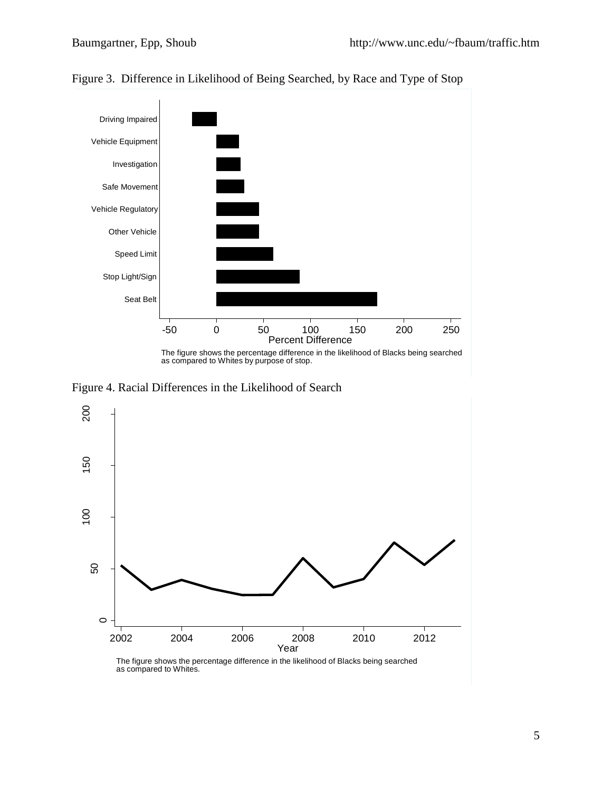

Figure 3. Difference in Likelihood of Being Searched, by Race and Type of Stop

Figure 4. Racial Differences in the Likelihood of Search

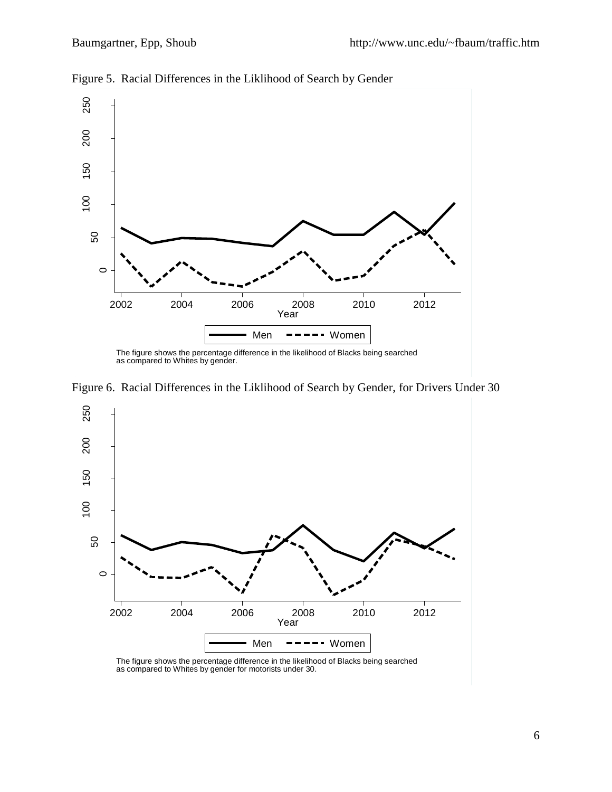

Figure 5. Racial Differences in the Liklihood of Search by Gender



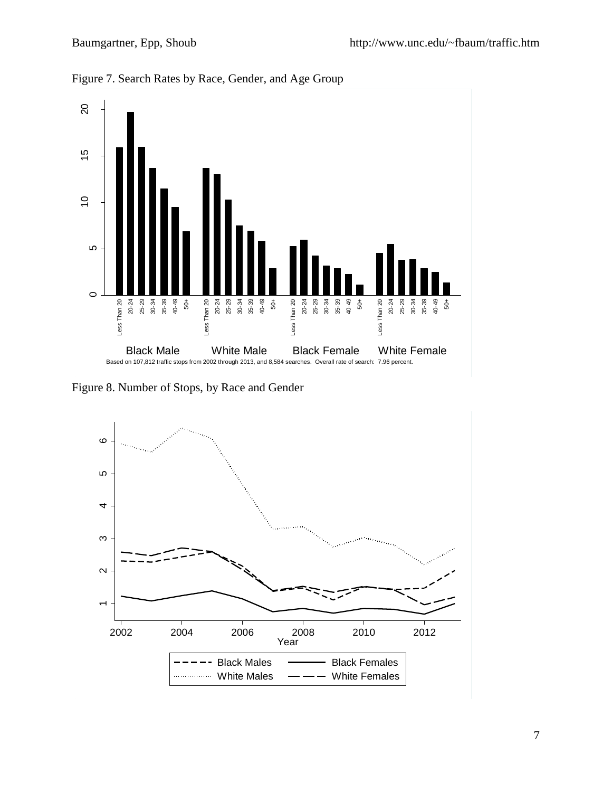

Figure 7. Search Rates by Race, Gender, and Age Group

Figure 8. Number of Stops, by Race and Gender

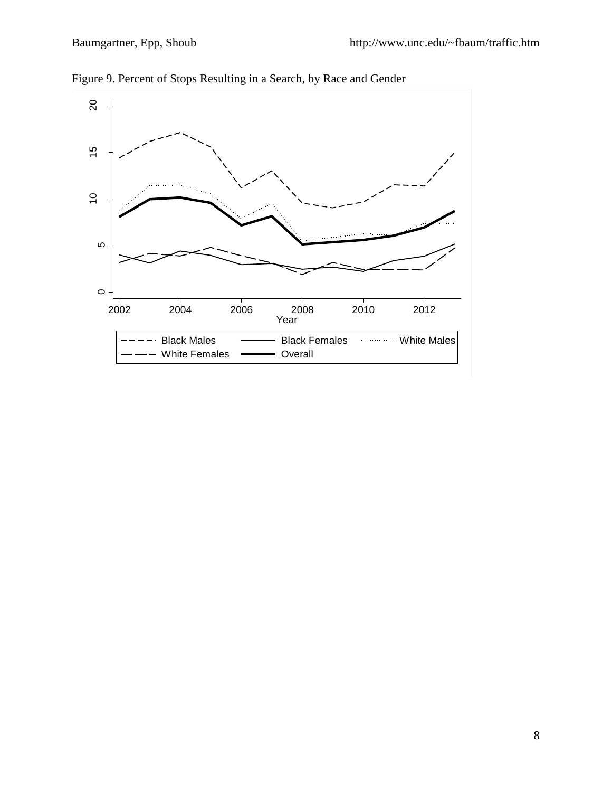

Figure 9. Percent of Stops Resulting in a Search, by Race and Gender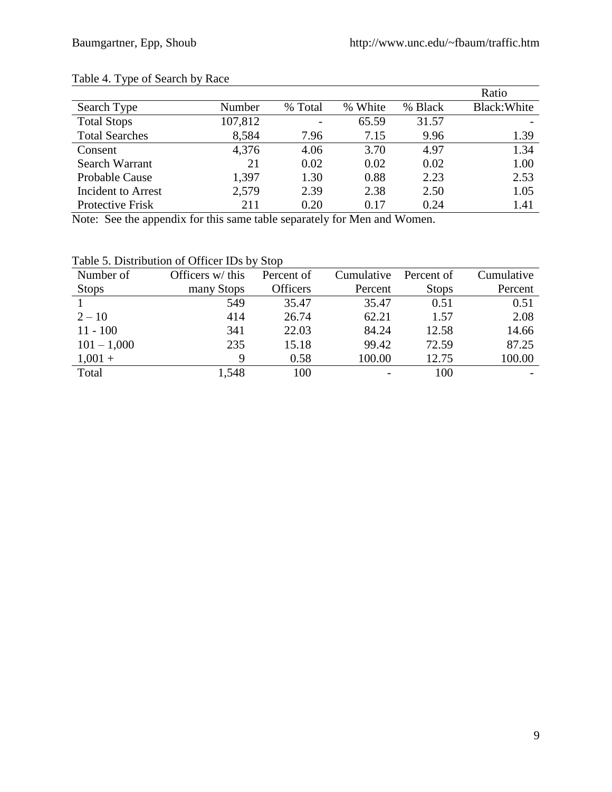#### Table 4. Type of Search by Race

|                           |         |         |         |         | Ratio        |
|---------------------------|---------|---------|---------|---------|--------------|
| Search Type               | Number  | % Total | % White | % Black | Black: White |
| <b>Total Stops</b>        | 107,812 |         | 65.59   | 31.57   |              |
| <b>Total Searches</b>     | 8,584   | 7.96    | 7.15    | 9.96    | 1.39         |
| Consent                   | 4,376   | 4.06    | 3.70    | 4.97    | 1.34         |
| Search Warrant            | 21      | 0.02    | 0.02    | 0.02    | 1.00         |
| Probable Cause            | 1,397   | 1.30    | 0.88    | 2.23    | 2.53         |
| <b>Incident to Arrest</b> | 2,579   | 2.39    | 2.38    | 2.50    | 1.05         |
| Protective Frisk          | 211     | 0.20    | 0.17    | 0.24    | 1.41         |

Note: See the appendix for this same table separately for Men and Women.

| Number of     | Officers w/ this | Percent of      | Cumulative | Percent of   | Cumulative |
|---------------|------------------|-----------------|------------|--------------|------------|
| <b>Stops</b>  | many Stops       | <b>Officers</b> | Percent    | <b>Stops</b> | Percent    |
|               | 549              | 35.47           | 35.47      | 0.51         | 0.51       |
| $2 - 10$      | 414              | 26.74           | 62.21      | 1.57         | 2.08       |
| $11 - 100$    | 341              | 22.03           | 84.24      | 12.58        | 14.66      |
| $101 - 1,000$ | 235              | 15.18           | 99.42      | 72.59        | 87.25      |
| $1,001 +$     |                  | 0.58            | 100.00     | 12.75        | 100.00     |

Total 1,548 100 - 100 -

Table 5. Distribution of Officer IDs by Stop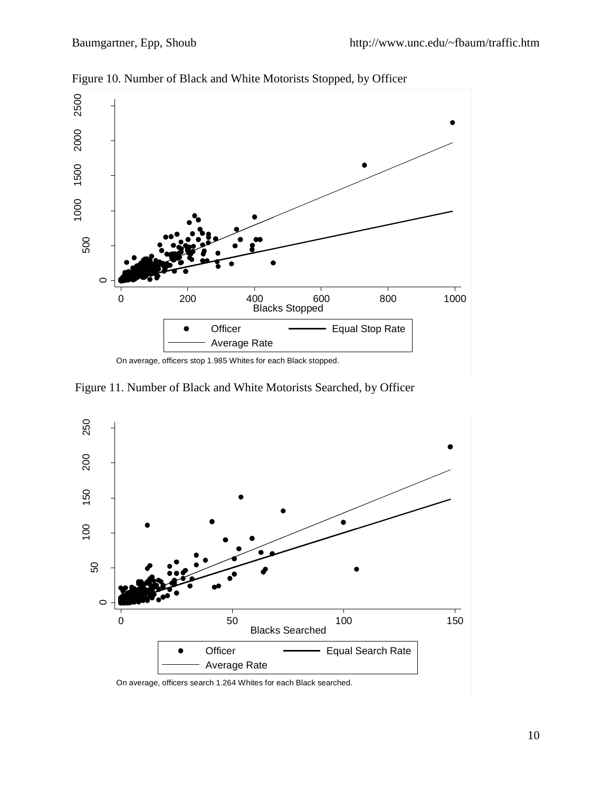

Figure 10. Number of Black and White Motorists Stopped, by Officer

Figure 11. Number of Black and White Motorists Searched, by Officer

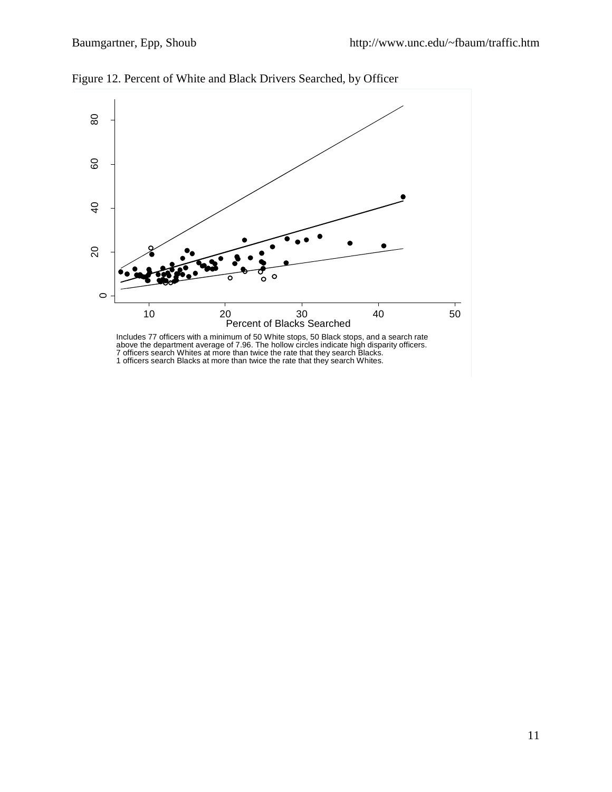

Figure 12. Percent of White and Black Drivers Searched, by Officer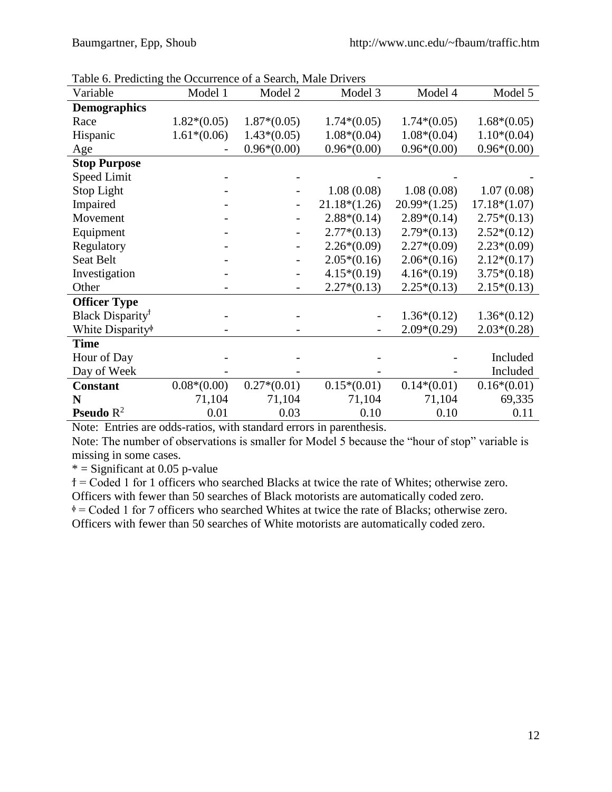| Table 6. Predicting the Occurrence of a Search, Male Drivers |               |               |                |                |                |
|--------------------------------------------------------------|---------------|---------------|----------------|----------------|----------------|
| Variable                                                     | Model 1       | Model 2       | Model 3        | Model 4        | Model 5        |
| <b>Demographics</b>                                          |               |               |                |                |                |
| Race                                                         | $1.82*(0.05)$ | $1.87*(0.05)$ | $1.74*(0.05)$  | $1.74*(0.05)$  | $1.68*(0.05)$  |
| Hispanic                                                     | $1.61*(0.06)$ | $1.43*(0.05)$ | $1.08*(0.04)$  | $1.08*(0.04)$  | $1.10*(0.04)$  |
| Age                                                          |               | $0.96*(0.00)$ | $0.96*(0.00)$  | $0.96*(0.00)$  | $0.96*(0.00)$  |
| <b>Stop Purpose</b>                                          |               |               |                |                |                |
| <b>Speed Limit</b>                                           |               |               |                |                |                |
| Stop Light                                                   |               |               | 1.08(0.08)     | 1.08(0.08)     | 1.07(0.08)     |
| Impaired                                                     |               |               | $21.18*(1.26)$ | $20.99*(1.25)$ | $17.18*(1.07)$ |
| Movement                                                     |               |               | $2.88*(0.14)$  | $2.89*(0.14)$  | $2.75*(0.13)$  |
| Equipment                                                    |               |               | $2.77*(0.13)$  | $2.79*(0.13)$  | $2.52*(0.12)$  |
| Regulatory                                                   |               |               | $2.26*(0.09)$  | $2.27*(0.09)$  | $2.23*(0.09)$  |
| Seat Belt                                                    |               |               | $2.05*(0.16)$  | $2.06*(0.16)$  | $2.12*(0.17)$  |
| Investigation                                                |               |               | $4.15*(0.19)$  | $4.16*(0.19)$  | $3.75*(0.18)$  |
| Other                                                        |               |               | $2.27*(0.13)$  | $2.25*(0.13)$  | $2.15*(0.13)$  |
| <b>Officer Type</b>                                          |               |               |                |                |                |
| Black Disparity <sup>†</sup>                                 |               |               |                | $1.36*(0.12)$  | $1.36*(0.12)$  |
| White Disparity <sup>®</sup>                                 |               |               |                | $2.09*(0.29)$  | $2.03*(0.28)$  |
| <b>Time</b>                                                  |               |               |                |                |                |
| Hour of Day                                                  |               |               |                |                | Included       |
| Day of Week                                                  |               |               |                |                | Included       |
| <b>Constant</b>                                              | $0.08*(0.00)$ | $0.27*(0.01)$ | $0.15*(0.01)$  | $0.14*(0.01)$  | $0.16*(0.01)$  |
| N                                                            | 71,104        | 71,104        | 71,104         | 71,104         | 69,335         |
| <b>Pseudo</b> $R^2$                                          | 0.01          | 0.03          | 0.10           | 0.10           | 0.11           |

Table 6. Predicting the Occurrence of a Search, Male Drivers

Note: Entries are odds-ratios, with standard errors in parenthesis.

Note: The number of observations is smaller for Model 5 because the "hour of stop" variable is missing in some cases.

 $*$  = Significant at 0.05 p-value

ϯ = Coded 1 for 1 officers who searched Blacks at twice the rate of Whites; otherwise zero. Officers with fewer than 50 searches of Black motorists are automatically coded zero.

 $\phi$  = Coded 1 for 7 officers who searched Whites at twice the rate of Blacks; otherwise zero. Officers with fewer than 50 searches of White motorists are automatically coded zero.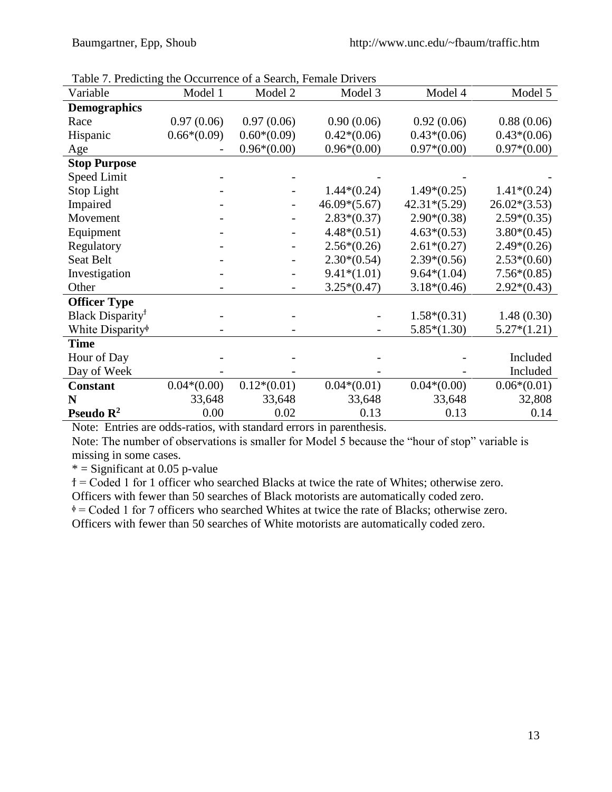| Table 7. Predicting the Occurrence of a Search, Female Drivers |               |               |                |                |                |
|----------------------------------------------------------------|---------------|---------------|----------------|----------------|----------------|
| Variable                                                       | Model 1       | Model 2       | Model 3        | Model 4        | Model 5        |
| <b>Demographics</b>                                            |               |               |                |                |                |
| Race                                                           | 0.97(0.06)    | 0.97(0.06)    | 0.90(0.06)     | 0.92(0.06)     | 0.88(0.06)     |
| Hispanic                                                       | $0.66*(0.09)$ | $0.60*(0.09)$ | $0.42*(0.06)$  | $0.43*(0.06)$  | $0.43*(0.06)$  |
| Age                                                            |               | $0.96*(0.00)$ | $0.96*(0.00)$  | $0.97*(0.00)$  | $0.97*(0.00)$  |
| <b>Stop Purpose</b>                                            |               |               |                |                |                |
| <b>Speed Limit</b>                                             |               |               |                |                |                |
| Stop Light                                                     |               |               | $1.44*(0.24)$  | $1.49*(0.25)$  | $1.41*(0.24)$  |
| Impaired                                                       |               |               | $46.09*(5.67)$ | $42.31*(5.29)$ | $26.02*(3.53)$ |
| Movement                                                       |               |               | $2.83*(0.37)$  | $2.90*(0.38)$  | $2.59*(0.35)$  |
| Equipment                                                      |               |               | $4.48*(0.51)$  | $4.63*(0.53)$  | $3.80*(0.45)$  |
| Regulatory                                                     |               |               | $2.56*(0.26)$  | $2.61*(0.27)$  | $2.49*(0.26)$  |
| Seat Belt                                                      |               |               | $2.30*(0.54)$  | $2.39*(0.56)$  | $2.53*(0.60)$  |
| Investigation                                                  |               |               | $9.41*(1.01)$  | $9.64*(1.04)$  | $7.56*(0.85)$  |
| Other                                                          |               |               | $3.25*(0.47)$  | $3.18*(0.46)$  | $2.92*(0.43)$  |
| <b>Officer Type</b>                                            |               |               |                |                |                |
| Black Disparity <sup>†</sup>                                   |               |               |                | $1.58*(0.31)$  | 1.48(0.30)     |
| White Disparity <sup>®</sup>                                   |               |               |                | $5.85*(1.30)$  | $5.27*(1.21)$  |
| <b>Time</b>                                                    |               |               |                |                |                |
| Hour of Day                                                    |               |               |                |                | Included       |
| Day of Week                                                    |               |               |                |                | Included       |
| <b>Constant</b>                                                | $0.04*(0.00)$ | $0.12*(0.01)$ | $0.04*(0.01)$  | $0.04*(0.00)$  | $0.06*(0.01)$  |
| N                                                              | 33,648        | 33,648        | 33,648         | 33,648         | 32,808         |
| Pseudo $\mathbb{R}^2$                                          | 0.00          | 0.02          | 0.13           | 0.13           | 0.14           |

Table 7. Predicting the Occurrence of a Search, Female Drivers

Note: Entries are odds-ratios, with standard errors in parenthesis.

Note: The number of observations is smaller for Model 5 because the "hour of stop" variable is missing in some cases.

 $*$  = Significant at 0.05 p-value

ϯ = Coded 1 for 1 officer who searched Blacks at twice the rate of Whites; otherwise zero.

Officers with fewer than 50 searches of Black motorists are automatically coded zero.

 $\phi$  = Coded 1 for 7 officers who searched Whites at twice the rate of Blacks; otherwise zero.

Officers with fewer than 50 searches of White motorists are automatically coded zero.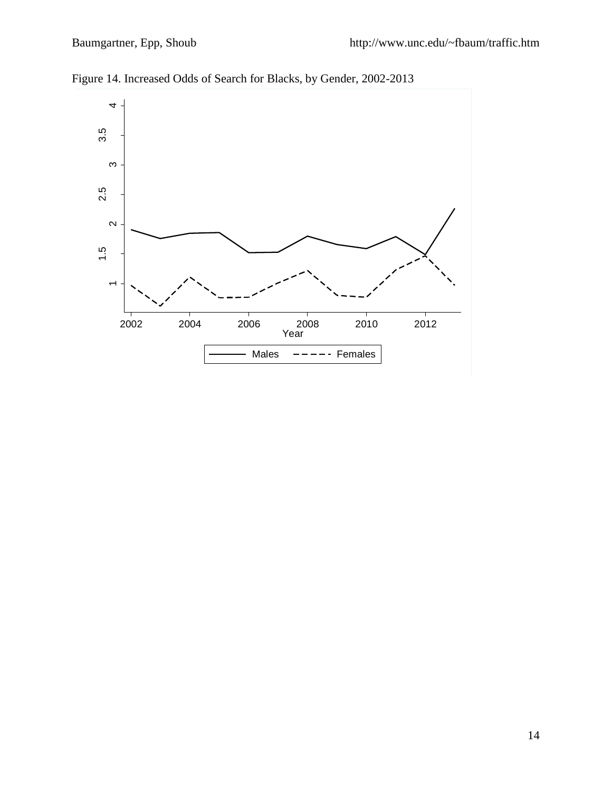

Figure 14. Increased Odds of Search for Blacks, by Gender, 2002-2013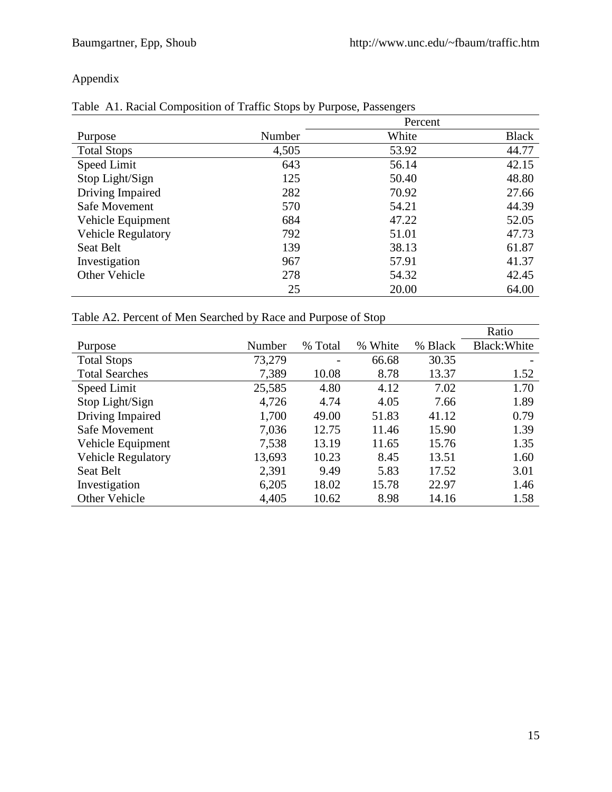## Appendix

|  |  | Table A1. Racial Composition of Traffic Stops by Purpose, Passengers |  |  |  |  |
|--|--|----------------------------------------------------------------------|--|--|--|--|
|--|--|----------------------------------------------------------------------|--|--|--|--|

|                           |        | Percent |              |
|---------------------------|--------|---------|--------------|
| Purpose                   | Number | White   | <b>Black</b> |
| <b>Total Stops</b>        | 4,505  | 53.92   | 44.77        |
| Speed Limit               | 643    | 56.14   | 42.15        |
| Stop Light/Sign           | 125    | 50.40   | 48.80        |
| Driving Impaired          | 282    | 70.92   | 27.66        |
| Safe Movement             | 570    | 54.21   | 44.39        |
| Vehicle Equipment         | 684    | 47.22   | 52.05        |
| <b>Vehicle Regulatory</b> | 792    | 51.01   | 47.73        |
| Seat Belt                 | 139    | 38.13   | 61.87        |
| Investigation             | 967    | 57.91   | 41.37        |
| Other Vehicle             | 278    | 54.32   | 42.45        |
|                           | 25     | 20.00   | 64.00        |

# Table A2. Percent of Men Searched by Race and Purpose of Stop

|                           |        |         |               |         | Ratio        |
|---------------------------|--------|---------|---------------|---------|--------------|
| Purpose                   | Number | % Total | White<br>$\%$ | % Black | Black: White |
| <b>Total Stops</b>        | 73,279 |         | 66.68         | 30.35   |              |
| <b>Total Searches</b>     | 7,389  | 10.08   | 8.78          | 13.37   | 1.52         |
| Speed Limit               | 25,585 | 4.80    | 4.12          | 7.02    | 1.70         |
| Stop Light/Sign           | 4,726  | 4.74    | 4.05          | 7.66    | 1.89         |
| Driving Impaired          | 1,700  | 49.00   | 51.83         | 41.12   | 0.79         |
| Safe Movement             | 7,036  | 12.75   | 11.46         | 15.90   | 1.39         |
| Vehicle Equipment         | 7,538  | 13.19   | 11.65         | 15.76   | 1.35         |
| <b>Vehicle Regulatory</b> | 13,693 | 10.23   | 8.45          | 13.51   | 1.60         |
| <b>Seat Belt</b>          | 2,391  | 9.49    | 5.83          | 17.52   | 3.01         |
| Investigation             | 6,205  | 18.02   | 15.78         | 22.97   | 1.46         |
| <b>Other Vehicle</b>      | 4,405  | 10.62   | 8.98          | 14.16   | 1.58         |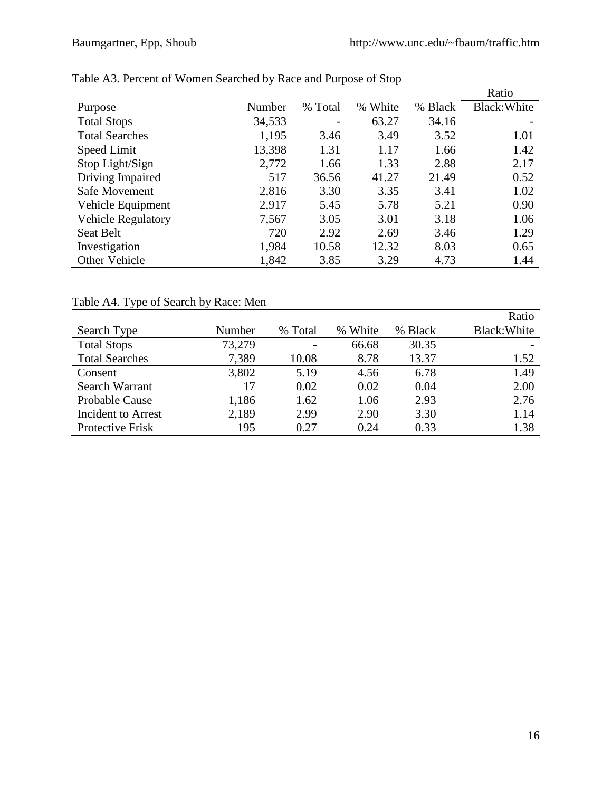|                           |        |                 |               |         | Ratio        |
|---------------------------|--------|-----------------|---------------|---------|--------------|
| Purpose                   | Number | % Total         | White<br>$\%$ | % Black | Black: White |
| <b>Total Stops</b>        | 34,533 | $\qquad \qquad$ | 63.27         | 34.16   |              |
| <b>Total Searches</b>     | 1,195  | 3.46            | 3.49          | 3.52    | 1.01         |
| Speed Limit               | 13,398 | 1.31            | 1.17          | 1.66    | 1.42         |
| Stop Light/Sign           | 2,772  | 1.66            | 1.33          | 2.88    | 2.17         |
| Driving Impaired          | 517    | 36.56           | 41.27         | 21.49   | 0.52         |
| Safe Movement             | 2,816  | 3.30            | 3.35          | 3.41    | 1.02         |
| Vehicle Equipment         | 2,917  | 5.45            | 5.78          | 5.21    | 0.90         |
| <b>Vehicle Regulatory</b> | 7,567  | 3.05            | 3.01          | 3.18    | 1.06         |
| Seat Belt                 | 720    | 2.92            | 2.69          | 3.46    | 1.29         |
| Investigation             | 1,984  | 10.58           | 12.32         | 8.03    | 0.65         |
| Other Vehicle             | 1,842  | 3.85            | 3.29          | 4.73    | 1.44         |

## Table A3. Percent of Women Searched by Race and Purpose of Stop

## Table A4. Type of Search by Race: Men

|                       |        |         |         |         | Ratio        |
|-----------------------|--------|---------|---------|---------|--------------|
| Search Type           | Number | % Total | % White | % Black | Black: White |
| <b>Total Stops</b>    | 73,279 |         | 66.68   | 30.35   |              |
| <b>Total Searches</b> | 7,389  | 10.08   | 8.78    | 13.37   | 1.52         |
| Consent               | 3,802  | 5.19    | 4.56    | 6.78    | 1.49         |
| Search Warrant        | 17     | 0.02    | 0.02    | 0.04    | 2.00         |
| <b>Probable Cause</b> | 1,186  | 1.62    | 1.06    | 2.93    | 2.76         |
| Incident to Arrest    | 2,189  | 2.99    | 2.90    | 3.30    | 1.14         |
| Protective Frisk      | 195    | 0.27    | 0.24    | 0.33    | 1.38         |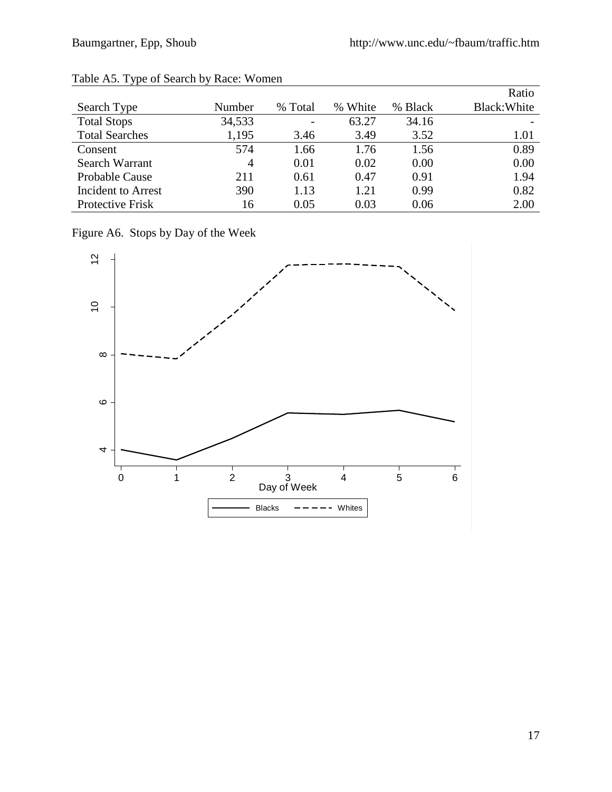|                       |        |                          |         |         | Ratio        |
|-----------------------|--------|--------------------------|---------|---------|--------------|
| Search Type           | Number | % Total                  | % White | % Black | Black: White |
| <b>Total Stops</b>    | 34,533 | $\overline{\phantom{a}}$ | 63.27   | 34.16   |              |
| <b>Total Searches</b> | 1,195  | 3.46                     | 3.49    | 3.52    | 1.01         |
| Consent               | 574    | 1.66                     | 1.76    | 1.56    | 0.89         |
| Search Warrant        | 4      | 0.01                     | 0.02    | 0.00    | 0.00         |
| <b>Probable Cause</b> | 211    | 0.61                     | 0.47    | 0.91    | 1.94         |
| Incident to Arrest    | 390    | 1.13                     | 1.21    | 0.99    | 0.82         |
| Protective Frisk      | 16     | 0.05                     | 0.03    | 0.06    | 2.00         |

#### Table A5. Type of Search by Race: Women

Figure A6. Stops by Day of the Week

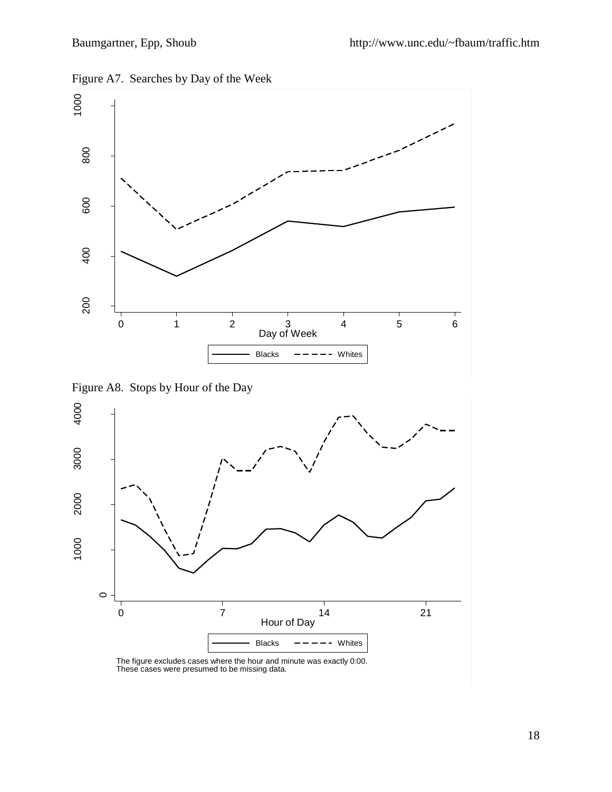



Figure A8. Stops by Hour of the Day

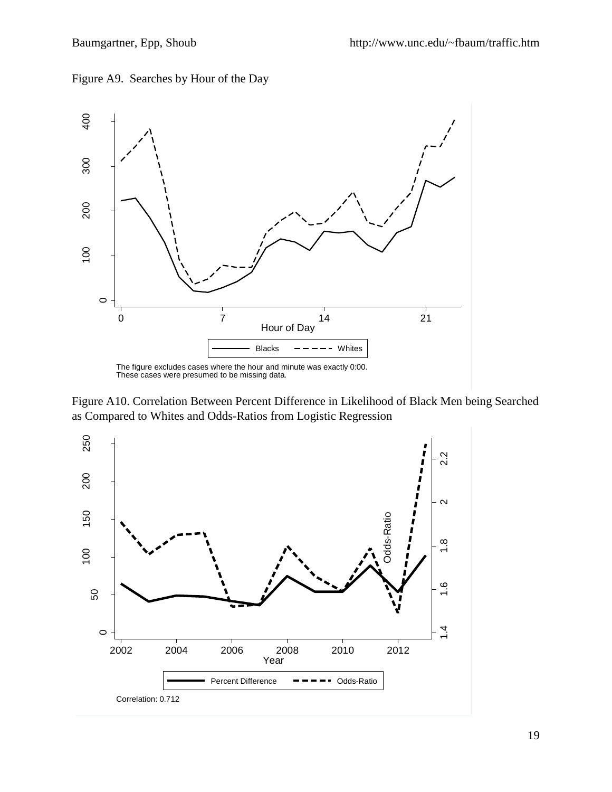Figure A9. Searches by Hour of the Day



Figure A10. Correlation Between Percent Difference in Likelihood of Black Men being Searched as Compared to Whites and Odds-Ratios from Logistic Regression

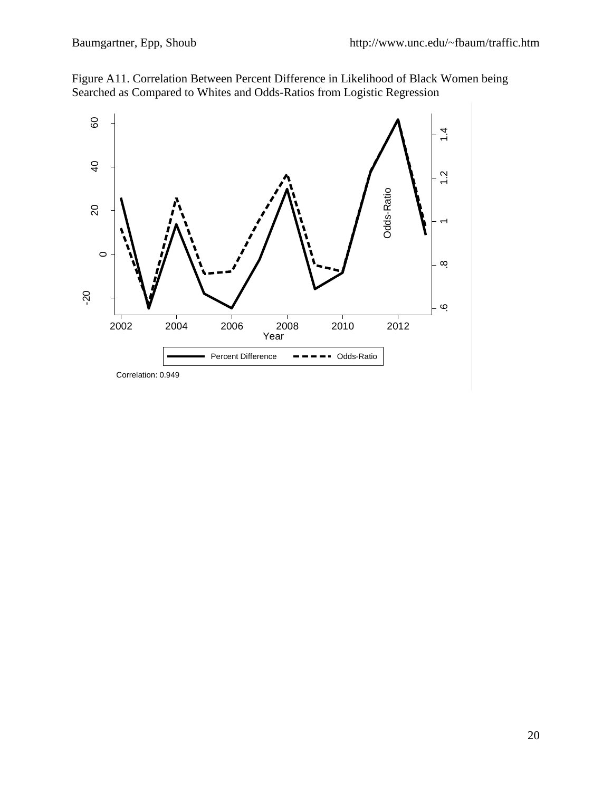

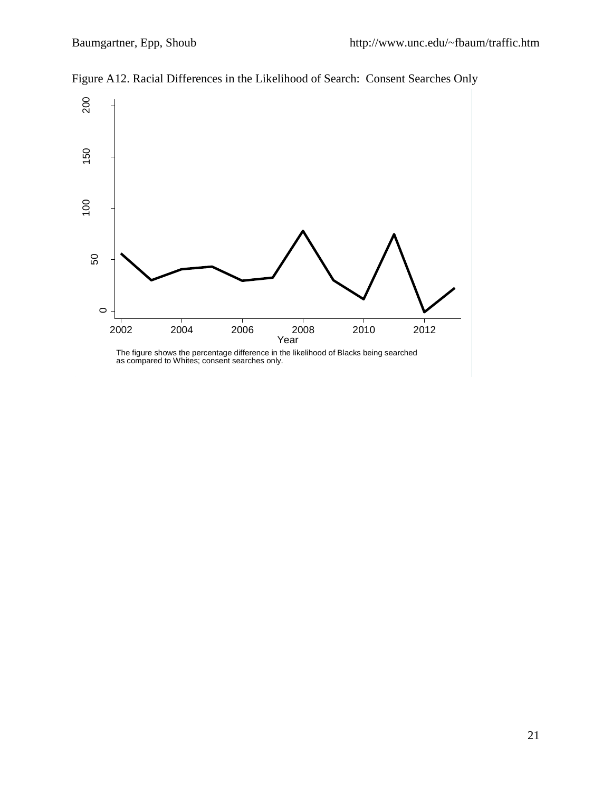

Figure A12. Racial Differences in the Likelihood of Search: Consent Searches Only